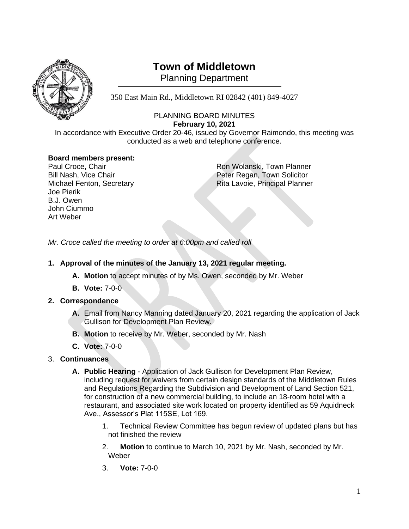

# **Town of Middletown**

**Planning Department** 

350 East Main Rd., Middletown RI 02842 (401) 849-4027

# PLANNING BOARD MINUTES **February 10, 2021**

In accordance with Executive Order 20-46, issued by Governor Raimondo, this meeting was conducted as a web and telephone conference.

# **Board members present:**

| Paul Croce, Chair         |
|---------------------------|
| Bill Nash, Vice Chair     |
| Michael Fenton, Secretary |
| <b>Joe Pierik</b>         |
| B.J. Owen                 |
| John Ciummo               |
| Art Weber                 |

Ron Wolanski, Town Planner Peter Regan, Town Solicitor Rita Lavoie, Principal Planner

*Mr. Croce called the meeting to order at 6:00pm and called roll*

- **1. Approval of the minutes of the January 13, 2021 regular meeting.**
	- **A. Motion** to accept minutes of by Ms. Owen, seconded by Mr. Weber
	- **B. Vote:** 7-0-0

## **2. Correspondence**

- **A.** Email from Nancy Manning dated January 20, 2021 regarding the application of Jack Gullison for Development Plan Review.
- **B. Motion** to receive by Mr. Weber, seconded by Mr. Nash
- **C. Vote:** 7-0-0

## 3. **Continuances**

- **A. Public Hearing** Application of Jack Gullison for Development Plan Review, including request for waivers from certain design standards of the Middletown Rules and Regulations Regarding the Subdivision and Development of Land Section 521, for construction of a new commercial building, to include an 18-room hotel with a restaurant, and associated site work located on property identified as 59 Aquidneck Ave., Assessor's Plat 115SE, Lot 169.
	- 1. Technical Review Committee has begun review of updated plans but has not finished the review
	- 2. **Motion** to continue to March 10, 2021 by Mr. Nash, seconded by Mr. Weber
	- 3. **Vote:** 7-0-0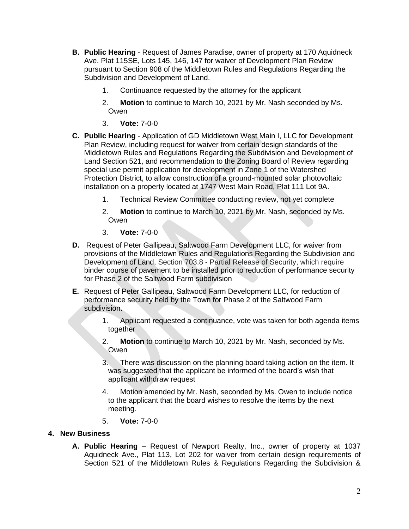- **B. Public Hearing** Request of James Paradise, owner of property at 170 Aquidneck Ave. Plat 115SE, Lots 145, 146, 147 for waiver of Development Plan Review pursuant to Section 908 of the Middletown Rules and Regulations Regarding the Subdivision and Development of Land.
	- 1. Continuance requested by the attorney for the applicant
	- 2. **Motion** to continue to March 10, 2021 by Mr. Nash seconded by Ms. Owen
	- 3. **Vote:** 7-0-0
- **C. Public Hearing** Application of GD Middletown West Main I, LLC for Development Plan Review, including request for waiver from certain design standards of the Middletown Rules and Regulations Regarding the Subdivision and Development of Land Section 521, and recommendation to the Zoning Board of Review regarding special use permit application for development in Zone 1 of the Watershed Protection District, to allow construction of a ground-mounted solar photovoltaic installation on a property located at 1747 West Main Road, Plat 111 Lot 9A.
	- 1. Technical Review Committee conducting review, not yet complete
	- 2. **Motion** to continue to March 10, 2021 by Mr. Nash, seconded by Ms. Owen
	- 3. **Vote:** 7-0-0
- **D.** Request of Peter Gallipeau, Saltwood Farm Development LLC, for waiver from provisions of the Middletown Rules and Regulations Regarding the Subdivision and Development of Land, Section 703.8 - Partial Release of Security, which require binder course of pavement to be installed prior to reduction of performance security for Phase 2 of the Saltwood Farm subdivision
- **E.** Request of Peter Gallipeau, Saltwood Farm Development LLC, for reduction of performance security held by the Town for Phase 2 of the Saltwood Farm subdivision.
	- 1. Applicant requested a continuance, vote was taken for both agenda items together
	- 2. **Motion** to continue to March 10, 2021 by Mr. Nash, seconded by Ms. **Owen**
	- 3. There was discussion on the planning board taking action on the item. It was suggested that the applicant be informed of the board's wish that applicant withdraw request
	- 4. Motion amended by Mr. Nash, seconded by Ms. Owen to include notice to the applicant that the board wishes to resolve the items by the next meeting.
	- 5. **Vote:** 7-0-0

#### **4. New Business**

**A. Public Hearing** – Request of Newport Realty, Inc., owner of property at 1037 Aquidneck Ave., Plat 113, Lot 202 for waiver from certain design requirements of Section 521 of the Middletown Rules & Regulations Regarding the Subdivision &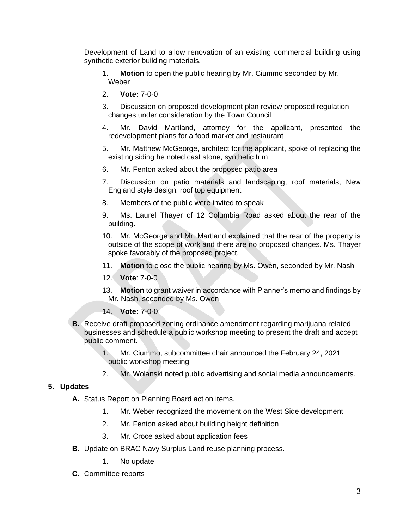Development of Land to allow renovation of an existing commercial building using synthetic exterior building materials.

- 1. **Motion** to open the public hearing by Mr. Ciummo seconded by Mr. Weber
- 2. **Vote:** 7-0-0
- 3. Discussion on proposed development plan review proposed regulation changes under consideration by the Town Council
- 4. Mr. David Martland, attorney for the applicant, presented the redevelopment plans for a food market and restaurant
- 5. Mr. Matthew McGeorge, architect for the applicant, spoke of replacing the existing siding he noted cast stone, synthetic trim
- 6. Mr. Fenton asked about the proposed patio area
- 7. Discussion on patio materials and landscaping, roof materials, New England style design, roof top equipment
- 8. Members of the public were invited to speak
- 9. Ms. Laurel Thayer of 12 Columbia Road asked about the rear of the building.
- 10. Mr. McGeorge and Mr. Martland explained that the rear of the property is outside of the scope of work and there are no proposed changes. Ms. Thayer spoke favorably of the proposed project.
- 11. **Motion** to close the public hearing by Ms. Owen, seconded by Mr. Nash
- 12. **Vote**: 7-0-0
- 13. **Motion** to grant waiver in accordance with Planner's memo and findings by Mr. Nash, seconded by Ms. Owen
- 14. **Vote:** 7-0-0
- **B.** Receive draft proposed zoning ordinance amendment regarding marijuana related businesses and schedule a public workshop meeting to present the draft and accept public comment.
	- 1. Mr. Ciummo, subcommittee chair announced the February 24, 2021 public workshop meeting
	- 2. Mr. Wolanski noted public advertising and social media announcements.

#### **5. Updates**

- **A.** Status Report on Planning Board action items.
	- 1. Mr. Weber recognized the movement on the West Side development
	- 2. Mr. Fenton asked about building height definition
	- 3. Mr. Croce asked about application fees
- **B.** Update on BRAC Navy Surplus Land reuse planning process.
	- 1. No update
- **C.** Committee reports